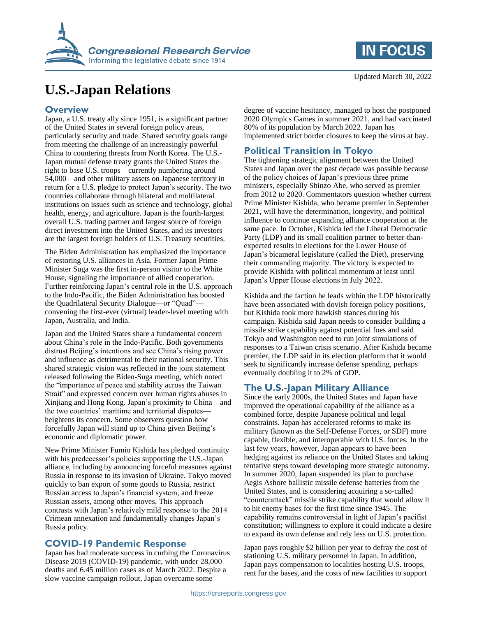

# **U.S.-Japan Relations**

### **Overview**

Japan, a U.S. treaty ally since 1951, is a significant partner of the United States in several foreign policy areas, particularly security and trade. Shared security goals range from meeting the challenge of an increasingly powerful China to countering threats from North Korea. The U.S.- Japan mutual defense treaty grants the United States the right to base U.S. troops—currently numbering around 54,000—and other military assets on Japanese territory in return for a U.S. pledge to protect Japan's security. The two countries collaborate through bilateral and multilateral institutions on issues such as science and technology, global health, energy, and agriculture. Japan is the fourth-largest overall U.S. trading partner and largest source of foreign direct investment into the United States, and its investors are the largest foreign holders of U.S. Treasury securities.

The Biden Administration has emphasized the importance of restoring U.S. alliances in Asia. Former Japan Prime Minister Suga was the first in-person visitor to the White House, signaling the importance of allied cooperation. Further reinforcing Japan's central role in the U.S. approach to the Indo-Pacific, the Biden Administration has boosted the Quadrilateral Security Dialogue—or "Quad" convening the first-ever (virtual) leader-level meeting with Japan, Australia, and India.

Japan and the United States share a fundamental concern about China's role in the Indo-Pacific. Both governments distrust Beijing's intentions and see China's rising power and influence as detrimental to their national security. This shared strategic vision was reflected in the joint statement released following the Biden-Suga meeting, which noted the "importance of peace and stability across the Taiwan Strait" and expressed concern over human rights abuses in Xinjiang and Hong Kong. Japan's proximity to China—and the two countries' maritime and territorial disputes heightens its concern. Some observers question how forcefully Japan will stand up to China given Beijing's economic and diplomatic power.

New Prime Minister Fumio Kishida has pledged continuity with his predecessor's policies supporting the U.S.-Japan alliance, including by announcing forceful measures against Russia in response to its invasion of Ukraine. Tokyo moved quickly to ban export of some goods to Russia, restrict Russian access to Japan's financial system, and freeze Russian assets, among other moves. This approach contrasts with Japan's relatively mild response to the 2014 Crimean annexation and fundamentally changes Japan's Russia policy.

# **COVID-19 Pandemic Response**

Japan has had moderate success in curbing the Coronavirus Disease 2019 (COVID-19) pandemic, with under 28,000 deaths and 6.45 million cases as of March 2022. Despite a slow vaccine campaign rollout, Japan overcame some



degree of vaccine hesitancy, managed to host the postponed 2020 Olympics Games in summer 2021, and had vaccinated 80% of its population by March 2022. Japan has implemented strict border closures to keep the virus at bay.

# **Political Transition in Tokyo**

The tightening strategic alignment between the United States and Japan over the past decade was possible because of the policy choices of Japan's previous three prime ministers, especially Shinzo Abe, who served as premier from 2012 to 2020. Commentators question whether current Prime Minister Kishida, who became premier in September 2021, will have the determination, longevity, and political influence to continue expanding alliance cooperation at the same pace. In October, Kishida led the Liberal Democratic Party (LDP) and its small coalition partner to better-thanexpected results in elections for the Lower House of Japan's bicameral legislature (called the Diet), preserving their commanding majority. The victory is expected to provide Kishida with political momentum at least until Japan's Upper House elections in July 2022.

Kishida and the faction he leads within the LDP historically have been associated with dovish foreign policy positions, but Kishida took more hawkish stances during his campaign. Kishida said Japan needs to consider building a missile strike capability against potential foes and said Tokyo and Washington need to run joint simulations of responses to a Taiwan crisis scenario. After Kishida became premier, the LDP said in its election platform that it would seek to significantly increase defense spending, perhaps eventually doubling it to 2% of GDP.

# **The U.S.-Japan Military Alliance**

Since the early 2000s, the United States and Japan have improved the operational capability of the alliance as a combined force, despite Japanese political and legal constraints. Japan has accelerated reforms to make its military (known as the Self-Defense Forces, or SDF) more capable, flexible, and interoperable with U.S. forces. In the last few years, however, Japan appears to have been hedging against its reliance on the United States and taking tentative steps toward developing more strategic autonomy. In summer 2020, Japan suspended its plan to purchase Aegis Ashore ballistic missile defense batteries from the United States, and is considering acquiring a so-called "counterattack" missile strike capability that would allow it to hit enemy bases for the first time since 1945. The capability remains controversial in light of Japan's pacifist constitution; willingness to explore it could indicate a desire to expand its own defense and rely less on U.S. protection.

Japan pays roughly \$2 billion per year to defray the cost of stationing U.S. military personnel in Japan. In addition, Japan pays compensation to localities hosting U.S. troops, rent for the bases, and the costs of new facilities to support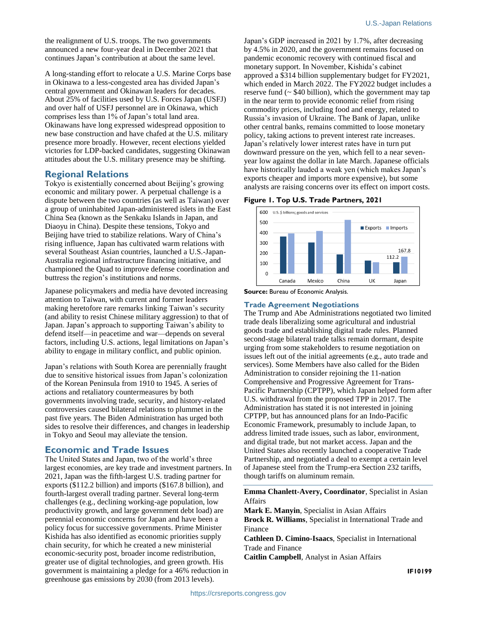the realignment of U.S. troops. The two governments announced a new four-year deal in December 2021 that continues Japan's contribution at about the same level.

A long-standing effort to relocate a U.S. Marine Corps base in Okinawa to a less-congested area has divided Japan's central government and Okinawan leaders for decades. About 25% of facilities used by U.S. Forces Japan (USFJ) and over half of USFJ personnel are in Okinawa, which comprises less than 1% of Japan's total land area. Okinawans have long expressed widespread opposition to new base construction and have chafed at the U.S. military presence more broadly. However, recent elections yielded victories for LDP-backed candidates, suggesting Okinawan attitudes about the U.S. military presence may be shifting.

#### **Regional Relations**

Tokyo is existentially concerned about Beijing's growing economic and military power. A perpetual challenge is a dispute between the two countries (as well as Taiwan) over a group of uninhabited Japan-administered islets in the East China Sea (known as the Senkaku Islands in Japan, and Diaoyu in China). Despite these tensions, Tokyo and Beijing have tried to stabilize relations. Wary of China's rising influence, Japan has cultivated warm relations with several Southeast Asian countries, launched a U.S.-Japan-Australia regional infrastructure financing initiative, and championed the Quad to improve defense coordination and buttress the region's institutions and norms.

Japanese policymakers and media have devoted increasing attention to Taiwan, with current and former leaders making heretofore rare remarks linking Taiwan's security (and ability to resist Chinese military aggression) to that of Japan. Japan's approach to supporting Taiwan's ability to defend itself—in peacetime and war—depends on several factors, including U.S. actions, legal limitations on Japan's ability to engage in military conflict, and public opinion.

Japan's relations with South Korea are perennially fraught due to sensitive historical issues from Japan's colonization of the Korean Peninsula from 1910 to 1945. A series of actions and retaliatory countermeasures by both governments involving trade, security, and history-related controversies caused bilateral relations to plummet in the past five years. The Biden Administration has urged both sides to resolve their differences, and changes in leadership in Tokyo and Seoul may alleviate the tension.

#### **Economic and Trade Issues**

The United States and Japan, two of the world's three largest economies, are key trade and investment partners. In 2021, Japan was the fifth-largest U.S. trading partner for exports (\$112.2 billion) and imports (\$167.8 billion), and fourth-largest overall trading partner. Several long-term challenges (e.g., declining working-age population, low productivity growth, and large government debt load) are perennial economic concerns for Japan and have been a policy focus for successive governments. Prime Minister Kishida has also identified as economic priorities supply chain security, for which he created a new ministerial economic-security post, broader income redistribution, greater use of digital technologies, and green growth. His government is maintaining a pledge for a 46% reduction in greenhouse gas emissions by 2030 (from 2013 levels).

Japan's GDP increased in 2021 by 1.7%, after decreasing by 4.5% in 2020, and the government remains focused on pandemic economic recovery with continued fiscal and monetary support. In November, Kishida's cabinet approved a \$314 billion supplementary budget for FY2021, which ended in March 2022. The FY2022 budget includes a reserve fund  $\sim$  \$40 billion), which the government may tap in the near term to provide economic relief from rising commodity prices, including food and energy, related to Russia's invasion of Ukraine. The Bank of Japan, unlike other central banks, remains committed to loose monetary policy, taking actions to prevent interest rate increases. Japan's relatively lower interest rates have in turn put downward pressure on the yen, which fell to a near sevenyear low against the dollar in late March. Japanese officials have historically lauded a weak yen (which makes Japan's exports cheaper and imports more expensive), but some analysts are raising concerns over its effect on import costs.

#### **Figure 1. Top U.S. Trade Partners, 2021**



**Source: Bureau of Economic Analysis.** 

#### **Trade Agreement Negotiations**

The Trump and Abe Administrations negotiated two limited trade deals liberalizing some agricultural and industrial goods trade and establishing digital trade rules. Planned second-stage bilateral trade talks remain dormant, despite urging from some stakeholders to resume negotiation on issues left out of the initial agreements (e.g., auto trade and services). Some Members have also called for the Biden Administration to consider rejoining the 11-nation Comprehensive and Progressive Agreement for Trans-Pacific Partnership (CPTPP), which Japan helped form after U.S. withdrawal from the proposed TPP in 2017. The Administration has stated it is not interested in joining CPTPP, but has announced plans for an Indo-Pacific Economic Framework, presumably to include Japan, to address limited trade issues, such as labor, environment, and digital trade, but not market access. Japan and the United States also recently launched a cooperative Trade Partnership, and negotiated a deal to exempt a certain level of Japanese steel from the Trump-era Section 232 tariffs, though tariffs on aluminum remain.

**Emma Chanlett-Avery, Coordinator**, Specialist in Asian Affairs

**Mark E. Manyin**, Specialist in Asian Affairs **Brock R. Williams**, Specialist in International Trade and Finance

**Cathleen D. Cimino-Isaacs**, Specialist in International Trade and Finance

**Caitlin Campbell**, Analyst in Asian Affairs